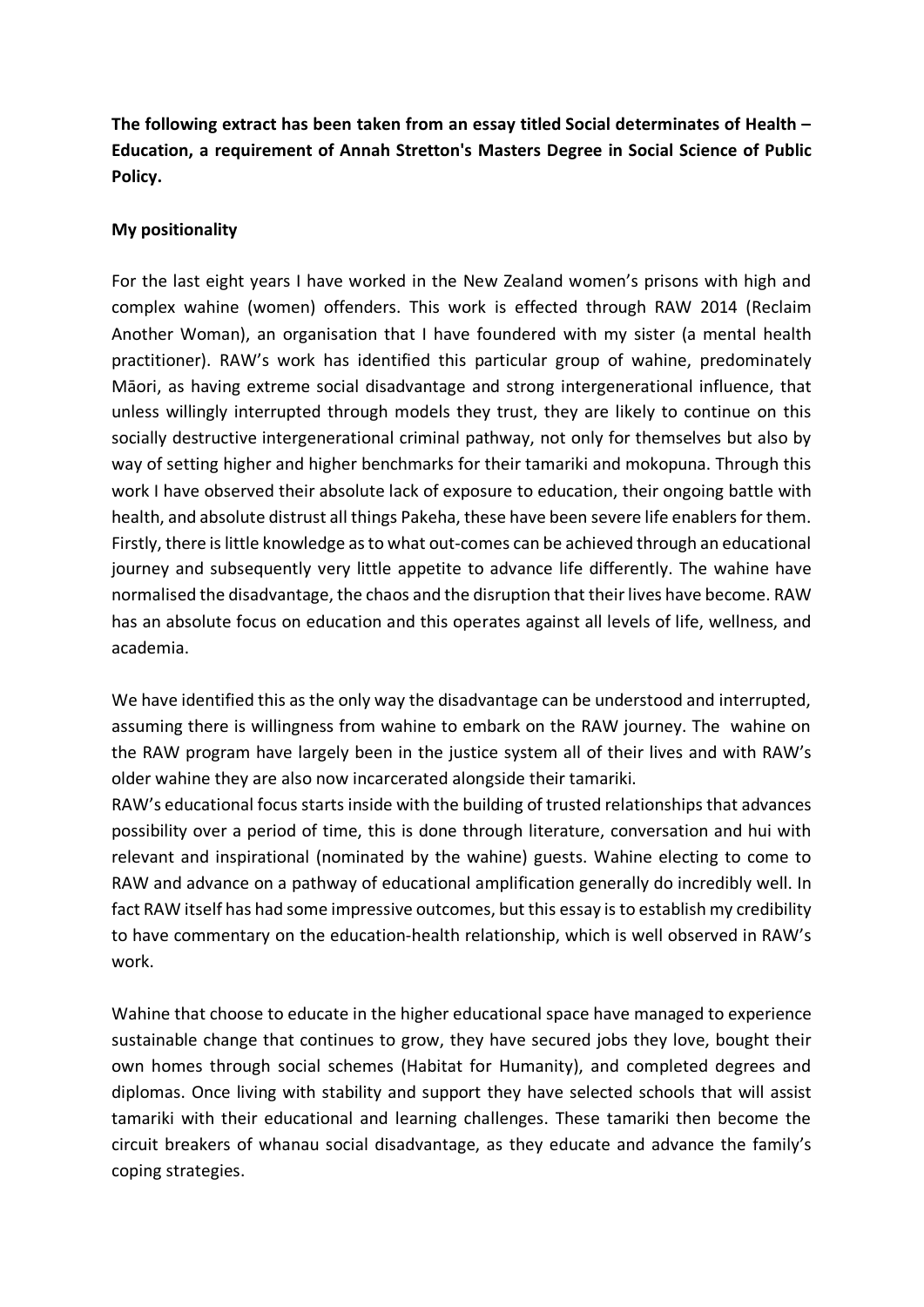**The following extract has been taken from an essay titled Social determinates of Health – Education, a requirement of Annah Stretton's Masters Degree in Social Science of Public Policy.** 

## **My positionality**

For the last eight years I have worked in the New Zealand women's prisons with high and complex wahine (women) offenders. This work is effected through RAW 2014 (Reclaim Another Woman), an organisation that I have foundered with my sister (a mental health practitioner). RAW's work has identified this particular group of wahine, predominately Māori, as having extreme social disadvantage and strong intergenerational influence, that unless willingly interrupted through models they trust, they are likely to continue on this socially destructive intergenerational criminal pathway, not only for themselves but also by way of setting higher and higher benchmarks for their tamariki and mokopuna. Through this work I have observed their absolute lack of exposure to education, their ongoing battle with health, and absolute distrust all things Pakeha, these have been severe life enablers for them. Firstly, there is little knowledge as to what out-comes can be achieved through an educational journey and subsequently very little appetite to advance life differently. The wahine have normalised the disadvantage, the chaos and the disruption that their lives have become. RAW has an absolute focus on education and this operates against all levels of life, wellness, and academia.

We have identified this as the only way the disadvantage can be understood and interrupted, assuming there is willingness from wahine to embark on the RAW journey. The wahine on the RAW program have largely been in the justice system all of their lives and with RAW's older wahine they are also now incarcerated alongside their tamariki.

RAW's educational focus starts inside with the building of trusted relationships that advances possibility over a period of time, this is done through literature, conversation and hui with relevant and inspirational (nominated by the wahine) guests. Wahine electing to come to RAW and advance on a pathway of educational amplification generally do incredibly well. In fact RAW itself has had some impressive outcomes, but this essay is to establish my credibility to have commentary on the education-health relationship, which is well observed in RAW's work.

Wahine that choose to educate in the higher educational space have managed to experience sustainable change that continues to grow, they have secured jobs they love, bought their own homes through social schemes (Habitat for Humanity), and completed degrees and diplomas. Once living with stability and support they have selected schools that will assist tamariki with their educational and learning challenges. These tamariki then become the circuit breakers of whanau social disadvantage, as they educate and advance the family's coping strategies.